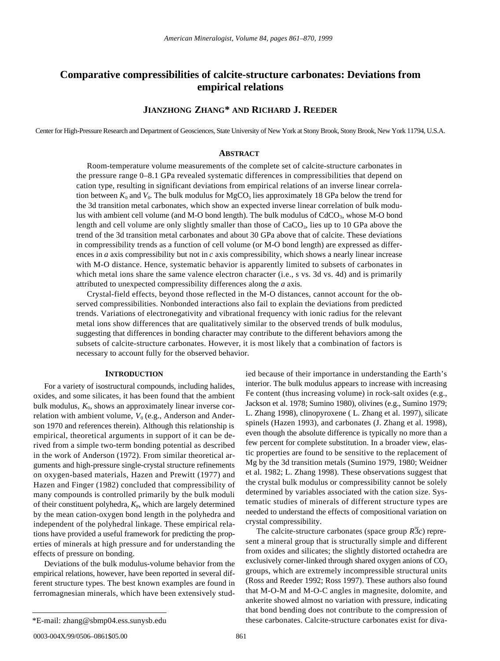# **Comparative compressibilities of calcite-structure carbonates: Deviations from empirical relations**

# **JIANZHONG ZHANG\* AND RICHARD J. REEDER**

Center for High-Pressure Research and Department of Geosciences, State University of New York at Stony Brook, Stony Brook, New York 11794, U.S.A.

#### **ABSTRACT**

Room-temperature volume measurements of the complete set of calcite-structure carbonates in the pressure range 0–8.1 GPa revealed systematic differences in compressibilities that depend on cation type, resulting in significant deviations from empirical relations of an inverse linear correlation between  $K_0$  and  $V_0$ . The bulk modulus for MgCO<sub>3</sub> lies approximately 18 GPa below the trend for the 3d transition metal carbonates, which show an expected inverse linear correlation of bulk modulus with ambient cell volume (and M-O bond length). The bulk modulus of CdCO<sub>3</sub>, whose M-O bond length and cell volume are only slightly smaller than those of CaCO<sub>3</sub>, lies up to 10 GPa above the trend of the 3d transition metal carbonates and about 30 GPa above that of calcite. These deviations in compressibility trends as a function of cell volume (or M-O bond length) are expressed as differences in *a* axis compressibility but not in *c* axis compressibility, which shows a nearly linear increase with M-O distance. Hence, systematic behavior is apparently limited to subsets of carbonates in which metal ions share the same valence electron character (i.e., s vs. 3d vs. 4d) and is primarily attributed to unexpected compressibility differences along the *a* axis.

Crystal-field effects, beyond those reflected in the M-O distances, cannot account for the observed compressibilities. Nonbonded interactions also fail to explain the deviations from predicted trends. Variations of electronegativity and vibrational frequency with ionic radius for the relevant metal ions show differences that are qualitatively similar to the observed trends of bulk modulus, suggesting that differences in bonding character may contribute to the different behaviors among the subsets of calcite-structure carbonates. However, it is most likely that a combination of factors is necessary to account fully for the observed behavior.

#### **INTRODUCTION**

For a variety of isostructural compounds, including halides, oxides, and some silicates, it has been found that the ambient bulk modulus,  $K_0$ , shows an approximately linear inverse correlation with ambient volume,  $V_0$  (e.g., Anderson and Anderson 1970 and references therein). Although this relationship is empirical, theoretical arguments in support of it can be derived from a simple two-term bonding potential as described in the work of Anderson (1972). From similar theoretical arguments and high-pressure single-crystal structure refinements on oxygen-based materials, Hazen and Prewitt (1977) and Hazen and Finger (1982) concluded that compressibility of many compounds is controlled primarily by the bulk moduli of their constituent polyhedra,  $K_{P}$ , which are largely determined by the mean cation-oxygen bond length in the polyhedra and independent of the polyhedral linkage. These empirical relations have provided a useful framework for predicting the properties of minerals at high pressure and for understanding the effects of pressure on bonding.

Deviations of the bulk modulus-volume behavior from the empirical relations, however, have been reported in several different structure types. The best known examples are found in ferromagnesian minerals, which have been extensively studied because of their importance in understanding the Earth's interior. The bulk modulus appears to increase with increasing Fe content (thus increasing volume) in rock-salt oxides (e.g., Jackson et al. 1978; Sumino 1980), olivines (e.g., Sumino 1979; L. Zhang 1998), clinopyroxene ( L. Zhang et al. 1997), silicate spinels (Hazen 1993), and carbonates (J. Zhang et al. 1998), even though the absolute difference is typically no more than a few percent for complete substitution. In a broader view, elastic properties are found to be sensitive to the replacement of Mg by the 3d transition metals (Sumino 1979, 1980; Weidner et al. 1982; L. Zhang 1998). These observations suggest that the crystal bulk modulus or compressibility cannot be solely determined by variables associated with the cation size. Systematic studies of minerals of different structure types are needed to understand the effects of compositional variation on crystal compressibility.

 $\pi$  calcite-structure carbonates (space group  $R\overline{3}c$ ) represent a mineral group that is structurally simple and different from oxides and silicates; the slightly distorted octahedra are exclusively corner-linked through shared oxygen anions of CO<sub>3</sub> groups, which are extremely incompressible structural units (Ross and Reeder 1992; Ross 1997). These authors also found that M-O-M and M-O-C angles in magnesite, dolomite, and ankerite showed almost no variation with pressure, indicating that bond bending does not contribute to the compression of \*E-mail: zhang@sbmp04.ess.sunysb.edu these carbonates. Calcite-structure carbonates exist for diva-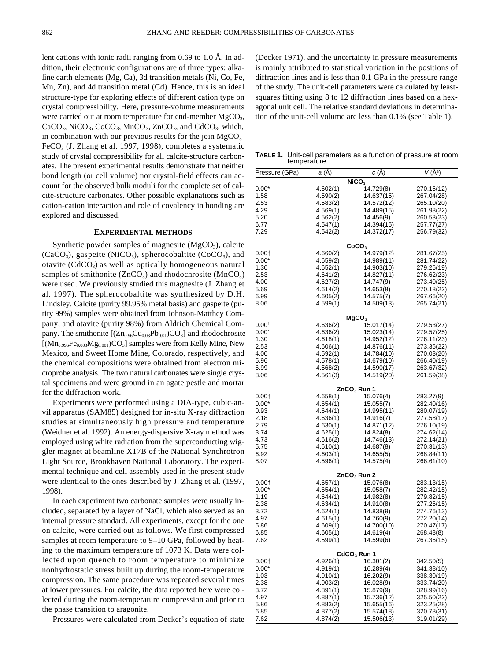lent cations with ionic radii ranging from 0.69 to 1.0 Å. In addition, their electronic configurations are of three types: alkaline earth elements (Mg, Ca), 3d transition metals (Ni, Co, Fe, Mn, Zn), and 4d transition metal (Cd). Hence, this is an ideal structure-type for exploring effects of different cation type on crystal compressibility. Here, pressure-volume measurements were carried out at room temperature for end-member  $MgCO<sub>3</sub>$ , CaCO<sub>3</sub>, NiCO<sub>3</sub>, CoCO<sub>3</sub>, MnCO<sub>3</sub>, ZnCO<sub>3</sub>, and CdCO<sub>3</sub>, which, in combination with our previous results for the join  $MgCO<sub>3</sub>$ - $FeCO<sub>3</sub>$  (J. Zhang et al. 1997, 1998), completes a systematic study of crystal compressibility for all calcite-structure carbonates. The present experimental results demonstrate that neither bond length (or cell volume) nor crystal-field effects can account for the observed bulk moduli for the complete set of calcite-structure carbonates. Other possible explanations such as cation-cation interaction and role of covalency in bonding are explored and discussed.

# **EXPERIMENTAL METHODS**

Synthetic powder samples of magnesite  $(MgCO<sub>3</sub>)$ , calcite  $(CaCO<sub>3</sub>)$ , gaspeite (NiCO<sub>3</sub>), spherocobaltite (CoCO<sub>3</sub>), and otavite  $(CdCO<sub>3</sub>)$  as well as optically homogeneous natural samples of smithonite  $(ZnCO<sub>3</sub>)$  and rhodochrosite  $(MnCO<sub>3</sub>)$ were used. We previously studied this magnesite (J. Zhang et al. 1997). The spherocobaltite was synthesized by D.H. Lindsley. Calcite (purity 99.95% metal basis) and gaspeite (purity 99%) samples were obtained from Johnson-Matthey Company, and otavite (purity 98%) from Aldrich Chemical Company. The smithonite  $[(Zn_{0.96}Cu_{0.03}Pb_{0.01})CO<sub>3</sub>]$  and rhodochrosite  $[(Mn<sub>0.996</sub>Fe<sub>0.003</sub>Mg<sub>0.001</sub>)CO<sub>3</sub>]$  samples were from Kelly Mine, New Mexico, and Sweet Home Mine, Colorado, respectively, and the chemical compositions were obtained from electron microprobe analysis. The two natural carbonates were single crystal specimens and were ground in an agate pestle and mortar for the diffraction work.

Experiments were performed using a DIA-type, cubic-anvil apparatus (SAM85) designed for in-situ X-ray diffraction studies at simultaneously high pressure and temperature (Weidner et al. 1992). An energy-dispersive X-ray method was employed using white radiation from the superconducting wiggler magnet at beamline X17B of the National Synchrotron Light Source, Brookhaven National Laboratory. The experimental technique and cell assembly used in the present study were identical to the ones described by J. Zhang et al. (1997, 1998).

In each experiment two carbonate samples were usually included, separated by a layer of NaCl, which also served as an internal pressure standard. All experiments, except for the one on calcite, were carried out as follows. We first compressed samples at room temperature to 9–10 GPa, followed by heating to the maximum temperature of 1073 K. Data were collected upon quench to room temperature to minimize nonhydrostatic stress built up during the room-temperature compression. The same procedure was repeated several times at lower pressures. For calcite, the data reported here were collected during the room-temperature compression and prior to the phase transition to aragonite.

Pressures were calculated from Decker's equation of state

(Decker 1971), and the uncertainty in pressure measurements is mainly attributed to statistical variation in the positions of diffraction lines and is less than 0.1 GPa in the pressure range of the study. The unit-cell parameters were calculated by leastsquares fitting using 8 to 12 diffraction lines based on a hexagonal unit cell. The relative standard deviations in determination of the unit-cell volume are less than 0.1% (see Table 1).

**TABLE 1.** Unit-cell parameters as a function of pressure at room temperature

|                | temperature |                         |            |
|----------------|-------------|-------------------------|------------|
| Pressure (GPa) | a(A)        | c(A)                    | $V(\AA^3)$ |
|                |             | NiCO <sub>3</sub>       |            |
| $0.00*$        | 4.602(1)    | 14.729(8)               | 270.15(12) |
| 1.58           | 4.590(2)    | 14.637(15)              | 267.04(28) |
| 2.53           | 4.583(2)    | 14.572(12)              | 265.10(20) |
| 4.29           | 4.569(1)    | 14.489(15)              | 261.98(22) |
| 5.20           | 4.562(2)    | 14.456(9)               | 260.53(23) |
| 6.77           | 4.547(1)    | 14.394(15)              | 257.77(27) |
| 7.29           | 4.542(2)    | 14.372(17)              | 256.79(32) |
|                |             | CoCO <sub>3</sub>       |            |
| 0.00†          | 4.660(2)    | 14.979(12)              | 281.67(25) |
| $0.00^\star$   | 4.659(2)    | 14.989(11)              | 281.74(22) |
| 1.30           | 4.652(1)    | 14.903(10)              | 279.26(19) |
| 2.53           | 4.641(2)    | 14.827(11)              | 276.62(23) |
| 4.00           | 4.627(2)    | 14.747(9)               | 273.40(25) |
| 5.69           | 4.614(2)    | 14.653(8)               | 270.18(22) |
| 6.99           | 4.605(2)    | 14.575(7)               | 267.66(20) |
| 8.06           | 4.599(1)    | 14.509(13)              | 265.74(21) |
|                |             | MgCO <sub>3</sub>       |            |
| $0.00^\dagger$ | 4.636(2)    | 15.017(14)              | 279.53(27) |
| $0.00^{\circ}$ | 4.636(2)    | 15.023(14)              | 279.57(25) |
| 1.30           | 4.618(1)    | 14.952(12)              | 276.11(23) |
| 2.53           | 4.606(1)    | 14.876(11)              | 273.35(22) |
| 4.00           | 4.592(1)    | 14.784(10)              | 270.03(20) |
| 5.96           | 4.578(1)    | 14.679(10)              | 266.40(19) |
| 6.99           | 4.568(2)    | 14.590(17)              | 263.67(32) |
| 8.06           | 4.561(3)    | 14.519(20)              | 261.59(38) |
|                |             | ZnCO <sub>3</sub> Run 1 |            |
| 0.00†          | 4.658(1)    | 15.076(4)               | 283.27(9)  |
| $0.00^\star$   | 4.654(1)    | 15.055(7)               | 282.40(16) |
| 0.93           | 4.644(1)    | 14.995(11)              | 280.07(19) |
| 2.18           | 4.636(1)    | 14.916(7)               | 277.58(17) |
| 2.79           | 4.630(1)    | 14.871(12)              | 276.10(19) |
| 3.74           | 4.625(1)    | 14.824(8)               | 274.62(14) |
| 4.73           | 4.616(2)    | 14.746(13)              | 272.14(21) |
| 5.75           | 4.610(1)    | 14.687(8)               | 270.31(13) |
| 6.92           | 4.603(1)    | 14.655(5)               | 268.84(11) |
| 8.07           | 4.596(1)    | 14.575(4)               | 266.61(10) |
|                |             | ZnCO <sub>3</sub> Run 2 |            |
| 0.00†          | 4.657(1)    | 15.076(8)               | 283.13(15) |
| $0.00^\star$   | 4.654(1)    | 15.058(7)               | 282.42(15) |
| 1.19           | 4.644(1)    | 14.982(8)               | 279.82(15) |
| 2.38           | 4.634(1)    | 14.910(8)               | 277.26(15) |
| 3.72           | 4.624(1)    | 14.838(9)               | 274.76(13) |
| 4.97           | 4.615(1)    | 14.760(9)               | 272.20(14) |
| 5.86           | 4.609(1)    | 14.700(10)              | 270.47(17) |
| 6.85           | 4.605(1)    | 14.619(4)               | 268.48(8)  |
| 7.62           | 4.599(1)    | 14.599(6)               | 267.36(15) |
|                |             | CdCO <sub>3</sub> Run 1 |            |
| 0.00†          | 4.926(1)    | 16.301(2)               | 342.50(5)  |
| $0.00*$        | 4.919(1)    | 16.289(4)               | 341.38(10) |
| 1.03           | 4.910(1)    | 16.202(9)               | 338.30(19) |
| 2.38           | 4.903(2)    | 16.028(9)               | 333.74(20) |
| 3.72           | 4.891(1)    | 15.879(9)               | 328.99(16) |
| 4.97           | 4.887(1)    | 15.736(12)              | 325.50(22) |
| 5.86           | 4.883(2)    | 15.655(16)              | 323.25(28) |
| 6.85           | 4.877(2)    | 15.574(18)              | 320.78(31) |
| 7.62           | 4.874(2)    | 15.506(13)              | 319.01(29) |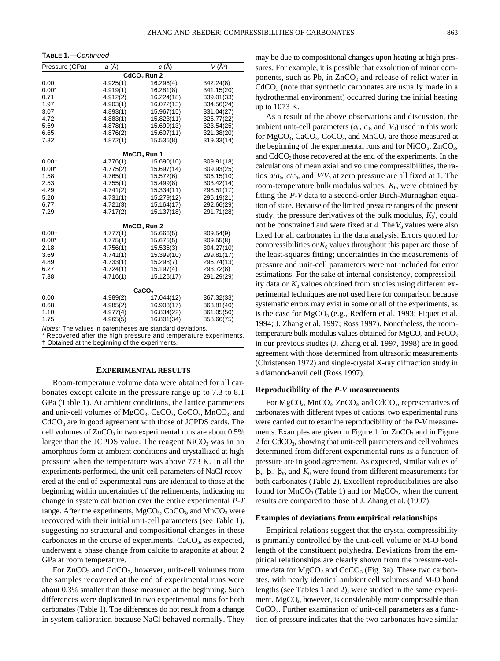**TABLE 1.—**Continued

| Pressure (GPa)           | a (Å)          | $c(\AA)$                            | $V(\AA^3)$ |
|--------------------------|----------------|-------------------------------------|------------|
|                          |                | CdCO <sub>2</sub> Run 2             |            |
| 0.001                    | 4.925(1)       | 16.296(4)                           | 342.24(8)  |
| $0.00*$                  | 4.919(1)       | 16.281(8)                           | 341.15(20) |
| 0.71                     | 4.912(2)       | 16.224(18)                          | 339.01(33) |
| 1.97                     | 4.903(1)       | 16.072(13)                          | 334.56(24) |
| 3.07                     | 4.893(1)       | 15.967(15)                          | 331.04(27) |
| 4.72                     | 4.883(1)       | 15.823(11)                          | 326.77(22) |
| 5.69                     | 4.878(1)       | 15.699(13)                          | 323.54(25) |
| 6.65                     | 4.876(2)       | 15.607(11)                          | 321.38(20) |
| 7.32                     | 4.872(1)       | 15.535(8)                           | 319.33(14) |
|                          |                | $MnCO3$ Run 1                       |            |
| 0.001                    | 4.776(1)       | 15.690(10)                          | 309.91(18) |
| $0.00*$                  | 4.775(2)       | 15.697(14)                          | 309.93(25) |
| 1.58                     | 4.765(1)       | 15.572(6)                           | 306.15(10) |
| 2.53                     | 4.755(1)       | 15.499(8)                           | 303.42(14) |
| 4.29                     | 4.741(2)       | 15.334(11)                          | 298.51(17) |
| 5.20                     | 4.731(1)       | 15.279(12)                          | 296.19(21) |
| 6.77                     | 4.721(3)       | 15.164(17)                          | 292.66(29) |
| 7.29                     | 4.717(2)       | 15.137(18)                          | 291.71(28) |
|                          |                | MnCO <sub>3</sub> Run 2             |            |
| 0.001                    | 4.777(1)       | 15.666(5)                           | 309.54(9)  |
| $0.00*$                  | 4.775(1)       | 15.675(5)                           | 309.55(8)  |
| 2.18                     | 4.756(1)       | 15.535(3)                           | 304.27(10) |
| 3.69                     | 4.741(1)       | 15.399(10)                          | 299.81(17) |
| 4.89                     | 4.733(1)       | 15.298(7)                           | 296.74(13) |
| 6.27                     | 4.724(1)       | 15.197(4)                           | 293.72(8)  |
| 7.38                     | 4.716(1)       | 15.125(17)                          | 291.29(29) |
|                          |                | CaCO <sub>3</sub>                   |            |
| 0.00                     | 4.989(2)       | 17.044(12)                          | 367.32(33) |
| 0.68                     | 4.985(2)       | 16.903(17)                          | 363.81(40) |
| 1.10                     | 4.977(4)       | 16.834(22)                          | 361.05(50) |
| 1.75                     | 4.965(5)       | 16.801(34)                          | 358.66(75) |
| $\cdots$<br>$\mathbf{r}$ | ٠<br>$\cdot$ . | and the contract of the contract of |            |

Notes: The values in parentheses are standard deviations.

Recovered after the high pressure and temperature experiments. † Obtained at the beginning of the experiments.

#### **EXPERIMENTAL RESULTS**

Room-temperature volume data were obtained for all carbonates except calcite in the pressure range up to 7.3 to 8.1 GPa (Table 1). At ambient conditions, the lattice parameters and unit-cell volumes of  $MgCO<sub>3</sub>$ , CaCO<sub>3</sub>, CoCO<sub>3</sub>, MnCO<sub>3</sub>, and  $CdCO<sub>3</sub>$  are in good agreement with those of JCPDS cards. The cell volumes of  $ZnCO<sub>3</sub>$  in two experimental runs are about  $0.5\%$ larger than the JCPDS value. The reagent  $NiCO<sub>3</sub>$  was in an amorphous form at ambient conditions and crystallized at high pressure when the temperature was above 773 K. In all the experiments performed, the unit-cell parameters of NaCl recovered at the end of experimental runs are identical to those at the beginning within uncertainties of the refinements, indicating no change in system calibration over the entire experimental *P*-*T* range. After the experiments,  $MgCO<sub>3</sub>$ , CoCO<sub>3</sub>, and MnCO<sub>3</sub> were recovered with their initial unit-cell parameters (see Table 1), suggesting no structural and compositional changes in these carbonates in the course of experiments.  $CaCO<sub>3</sub>$ , as expected, underwent a phase change from calcite to aragonite at about 2 GPa at room temperature.

For  $ZnCO<sub>3</sub>$  and  $CdCO<sub>3</sub>$ , however, unit-cell volumes from the samples recovered at the end of experimental runs were about 0.3% smaller than those measured at the beginning. Such differences were duplicated in two experimental runs for both carbonates (Table 1). The differences do not result from a change in system calibration because NaCl behaved normally. They may be due to compositional changes upon heating at high pressures. For example, it is possible that exsolution of minor components, such as Pb, in ZnCO<sub>3</sub> and release of relict water in  $CdCO<sub>3</sub>$  (note that synthetic carbonates are usually made in a hydrothermal environment) occurred during the initial heating up to 1073 K.

As a result of the above observations and discussion, the ambient unit-cell parameters  $(a_0, c_0,$  and  $V_0$ ) used in this work for MgCO<sub>3</sub>, CaCO<sub>3</sub>, CoCO<sub>3</sub>, and MnCO<sub>3</sub> are those measured at the beginning of the experimental runs and for  $NiCO<sub>3</sub>$ ,  $ZnCO<sub>3</sub>$ , and  $CdCO<sub>3</sub>$  those recovered at the end of the experiments. In the calculations of mean axial and volume compressibilities, the ratios  $a/a_0$ ,  $c/c_0$ , and  $V/V_0$  at zero pressure are all fixed at 1. The room-temperature bulk modulus values,  $K_0$ , were obtained by fitting the *P*-*V* data to a second-order Birch-Murnaghan equation of state. Because of the limited pressure ranges of the present study, the pressure derivatives of the bulk modulus,  $K_0'$ , could not be constrained and were fixed at 4. The  $V_0$  values were also fixed for all carbonates in the data analysis. Errors quoted for compressibilities or  $K_0$  values throughout this paper are those of the least-squares fitting; uncertainties in the measurements of pressure and unit-cell parameters were not included for error estimations. For the sake of internal consistency, compressibility data or  $K_0$  values obtained from studies using different experimental techniques are not used here for comparison because systematic errors may exist in some or all of the experiments, as is the case for  $MgCO<sub>3</sub>$  (e.g., Redfern et al. 1993; Fiquet et al. 1994; J. Zhang et al. 1997; Ross 1997). Nonetheless, the roomtemperature bulk modulus values obtained for  $MgCO<sub>3</sub>$  and  $FeCO<sub>3</sub>$ in our previous studies (J. Zhang et al. 1997, 1998) are in good agreement with those determined from ultrasonic measurements (Christensen 1972) and single-crystal X-ray diffraction study in a diamond-anvil cell (Ross 1997).

#### **Reproducibility of the** *P***-***V* **measurements**

For  $MgCO<sub>3</sub>$ , MnCO<sub>3</sub>, ZnCO<sub>3</sub>, and CdCO<sub>3</sub>, representatives of carbonates with different types of cations, two experimental runs were carried out to examine reproducibility of the *P*-*V* measurements. Examples are given in Figure 1 for  $ZnCO<sub>3</sub>$  and in Figure 2 for CdCO<sub>3</sub>, showing that unit-cell parameters and cell volumes determined from different experimental runs as a function of pressure are in good agreement. As expected, similar values of  $K_0$ ,  $K_0$  were found from different measurements for both carbonates (Table 2). Excellent reproducibilities are also found for  $MnCO<sub>3</sub>$  (Table 1) and for  $MgCO<sub>3</sub>$ , when the current results are compared to those of J. Zhang et al. (1997).

#### **Examples of deviations from empirical relationships**

Empirical relations suggest that the crystal compressibility is primarily controlled by the unit-cell volume or M-O bond length of the constituent polyhedra. Deviations from the empirical relationships are clearly shown from the pressure-volume data for  $MgCO_3$  and  $CoCO_3$  (Fig. 3a). These two carbonates, with nearly identical ambient cell volumes and M-O bond lengths (see Tables 1 and 2), were studied in the same experiment. MgCO<sub>3</sub>, however, is considerably more compressible than  $CoCO<sub>3</sub>$ . Further examination of unit-cell parameters as a function of pressure indicates that the two carbonates have similar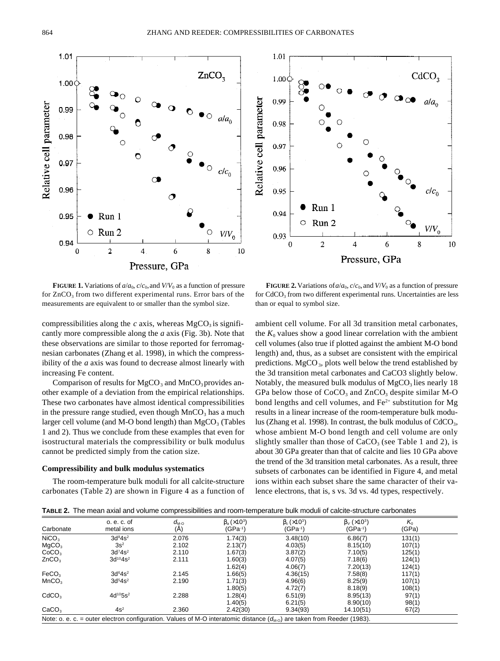**FIGURE 1.** Variations of  $a/a_0$ ,  $c/c_0$ , and  $V/V_0$  as a function of pressure for ZnCO<sub>3</sub> from two different experimental runs. Error bars of the measurements are equivalent to or smaller than the symbol size.

compressibilities along the  $c$  axis, whereas  $MgCO<sub>3</sub>$  is significantly more compressible along the *a* axis (Fig. 3b). Note that these observations are similar to those reported for ferromagnesian carbonates (Zhang et al. 1998), in which the compressibility of the *a* axis was found to decrease almost linearly with increasing Fe content.

Comparison of results for  $MgCO_3$  and  $MnCO_3$  provides another example of a deviation from the empirical relationships. These two carbonates have almost identical compressibilities in the pressure range studied, even though  $MnCO<sub>3</sub>$  has a much larger cell volume (and M-O bond length) than  $MgCO<sub>3</sub>$  (Tables 1 and 2). Thus we conclude from these examples that even for isostructural materials the compressibility or bulk modulus cannot be predicted simply from the cation size.

#### **Compressibility and bulk modulus systematics**

The room-temperature bulk moduli for all calcite-structure carbonates (Table 2) are shown in Figure 4 as a function of

**FIGURE 2.** Variations of  $a/a_0$ ,  $c/c_0$ , and  $V/V_0$  as a function of pressure for CdCO<sub>3</sub> from two different experimental runs. Uncertainties are less than or equal to symbol size.

ambient cell volume. For all 3d transition metal carbonates, the  $K_0$  values show a good linear correlation with the ambient cell volumes (also true if plotted against the ambient M-O bond length) and, thus, as a subset are consistent with the empirical predictions.  $MgCO_3$ , plots well below the trend established by the 3d transition metal carbonates and CaCO3 slightly below. Notably, the measured bulk modulus of  $MgCO<sub>3</sub>$  lies nearly 18 GPa below those of  $CoCO<sub>3</sub>$  and  $ZnCO<sub>3</sub>$  despite similar M-O bond lengths and cell volumes, and  $Fe<sup>2+</sup>$  substitution for Mg results in a linear increase of the room-temperature bulk modulus (Zhang et al. 1998). In contrast, the bulk modulus of  $CdCO<sub>3</sub>$ , whose ambient M-O bond length and cell volume are only slightly smaller than those of  $CaCO<sub>3</sub>$  (see Table 1 and 2), is about 30 GPa greater than that of calcite and lies 10 GPa above the trend of the 3d transition metal carbonates. As a result, three subsets of carbonates can be identified in Figure 4, and metal ions within each subset share the same character of their valence electrons, that is, s vs. 3d vs. 4d types, respectively.

**TABLE 2.** The mean axial and volume compressibilities and room-temperature bulk moduli of calcite-structure carbonates

| Carbonate                           | o. e. c. of<br>metal ions                                                                                                     | $d_{\text{M-O}}$<br>(A) | $_{a}$ ( $\times$ 10 <sup>3</sup> )<br>(GPa-1) | $_{c}$ (×10 <sup>3</sup> )<br>$(GPa^{-1})$ | $v(x10^3)$<br>$(GPa^{-1})$ | $K_{0}$<br>(GPa) |  |
|-------------------------------------|-------------------------------------------------------------------------------------------------------------------------------|-------------------------|------------------------------------------------|--------------------------------------------|----------------------------|------------------|--|
| NiCO <sub>3</sub>                   | $3d^{8}4s^{2}$                                                                                                                | 2.076                   | 1.74(3)                                        | 3.48(10)                                   | 6.86(7)                    | 131(1)           |  |
| MqCO <sub>3</sub>                   | 3s <sup>2</sup>                                                                                                               | 2.102                   | 2.13(7)                                        | 4.03(5)                                    | 8.15(10)                   | 107(1)           |  |
| CoCO <sub>3</sub>                   | $3d^{7}4s^{2}$                                                                                                                | 2.110                   | 1.67(3)                                        | 3.87(2)                                    | 7.10(5)                    | 125(1)           |  |
| ZnCO <sub>3</sub>                   | $3d^{10}4s^2$                                                                                                                 | 2.111                   | 1.60(3)                                        | 4.07(5)                                    | 7.18(6)                    | 124(1)           |  |
|                                     |                                                                                                                               |                         | 1.62(4)                                        | 4.06(7)                                    | 7.20(13)                   | 124(1)           |  |
| FeCO <sub>3</sub>                   | 3d <sup>6</sup> 4s <sup>2</sup>                                                                                               | 2.145                   | 1.66(5)                                        | 4.36(15)                                   | 7.58(8)                    | 117(1)           |  |
| $3d^{5}4s^{2}$<br>MnCO <sub>3</sub> |                                                                                                                               | 2.190                   | 1.71(3)                                        | 4.96(6)                                    | 8.25(9)                    | 107(1)           |  |
|                                     |                                                                                                                               |                         | 1.80(5)                                        | 4.72(7)                                    | 8.18(9)                    | 108(1)           |  |
| CdCO <sub>3</sub>                   | $4d^{10}5s^2$                                                                                                                 | 2.288                   | 1.28(4)                                        | 6.51(9)                                    | 8.95(13)                   | 97(1)            |  |
|                                     |                                                                                                                               |                         | 1.40(5)                                        | 6.21(5)                                    | 8.90(10)                   | 98(1)            |  |
| CaCO <sub>3</sub>                   | 4s <sup>2</sup>                                                                                                               | 2.360                   | 2.42(30)                                       | 9.34(93)                                   | 14.10(51)                  | 67(2)            |  |
|                                     | Note: o. e. c. = outer electron configuration. Values of M-O interatomic distance ( $d_{M10}$ ) are taken from Reeder (1983). |                         |                                                |                                            |                            |                  |  |



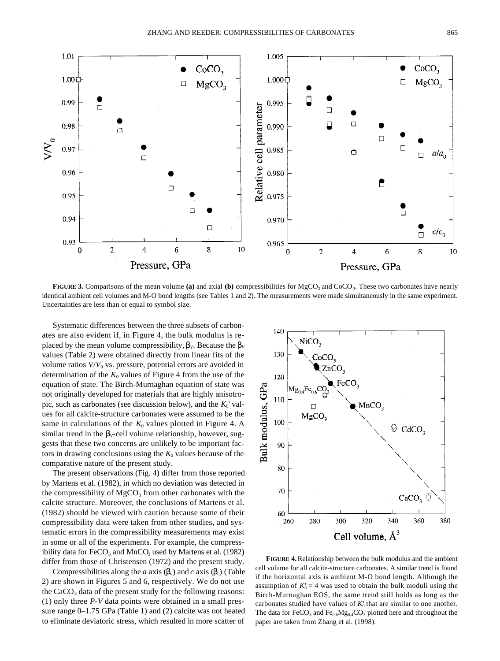

**FIGURE 3.** Comparisons of the mean volume (a) and axial (b) compressibilities for  $MgCO<sub>3</sub>$  and  $CoCO<sub>3</sub>$ . These two carbonates have nearly identical ambient cell volumes and M-O bond lengths (see Tables 1 and 2). The measurements were made simultaneously in the same experiment. Uncertainties are less than or equal to symbol size.

Systematic differences between the three subsets of carbonates are also evident if, in Figure 4, the bulk modulus is replaced by the mean volume compressibility,  $V_V$ . Because the  $V_V$ values (Table 2) were obtained directly from linear fits of the volume ratios  $V/V_0$  vs. pressure, potential errors are avoided in determination of the  $K_0$  values of Figure 4 from the use of the equation of state. The Birch-Murnaghan equation of state was not originally developed for materials that are highly anisotropic, such as carbonates (see discussion below), and the  $K_0'$  values for all calcite-structure carbonates were assumed to be the same in calculations of the  $K_0$  values plotted in Figure 4. A similar trend in the  $_V$ -cell volume relationship, however, suggests that these two concerns are unlikely to be important factors in drawing conclusions using the  $K_0$  values because of the comparative nature of the present study.

The present observations (Fig. 4) differ from those reported by Martens et al. (1982), in which no deviation was detected in the compressibility of  $MgCO<sub>3</sub>$  from other carbonates with the calcite structure. Moreover, the conclusions of Martens et al. (1982) should be viewed with caution because some of their compressibility data were taken from other studies, and systematic errors in the compressibility measurements may exist in some or all of the experiments. For example, the compressibility data for  $FeCO<sub>3</sub>$  and MnCO<sub>3</sub> used by Martens et al. (1982) differ from those of Christensen (1972) and the present study.

Compressibilities along the *a* axis ( *<sup>a</sup>*) and *c* axis ( *<sup>c</sup>*) (Table 2) are shown in Figures 5 and 6, respectively. We do not use the  $CaCO<sub>3</sub>$  data of the present study for the following reasons: (1) only three *P*-*V* data points were obtained in a small pressure range 0–1.75 GPa (Table 1) and (2) calcite was not heated to eliminate deviatoric stress, which resulted in more scatter of



**FIGURE 4.** Relationship between the bulk modulus and the ambient cell volume for all calcite-structure carbonates. A similar trend is found if the horizontal axis is ambient M-O bond length. Although the assumption of  $K_0 = 4$  was used to obtain the bulk moduli using the Birch-Murnaghan EOS, the same trend still holds as long as the carbonates studied have values of  $K_0$  that are similar to one another. The data for  $FeCO<sub>3</sub>$  and  $Fe<sub>0.6</sub>Mg<sub>0.4</sub>CO<sub>3</sub>$  plotted here and throughout the paper are taken from Zhang et al. (1998).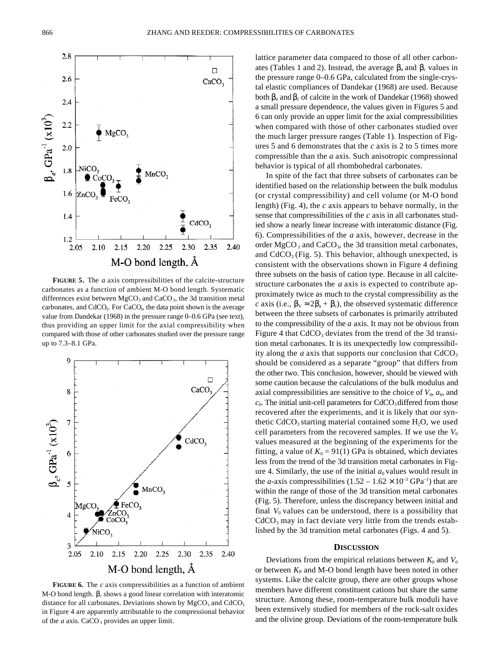

**FIGURE 5.** The *a* axis compressibilities of the calcite-structure carbonates as a function of ambient M-O bond length. Systematic differences exist between  $MgCO<sub>3</sub>$  and CaCO<sub>3</sub>, the 3d transition metal carbonates, and CdCO<sub>3</sub>. For CaCO<sub>3</sub>, the data point shown is the average value from Dandekar (1968) in the pressure range 0–0.6 GPa (see text), thus providing an upper limit for the axial compressibility when compared with those of other carbonates studied over the pressure range up to 7.3–8.1 GPa.



**FIGURE 6.** The *c* axis compressibilities as a function of ambient M-O bond length. c shows a good linear correlation with interatomic distance for all carbonates. Deviations shown by  $MgCO<sub>3</sub>$  and  $CdCO<sub>3</sub>$ in Figure 4 are apparently attributable to the compressional behavior of the  $a$  axis. CaCO<sub>3</sub> provides an upper limit.

lattice parameter data compared to those of all other carbonates (Tables 1 and 2). Instead, the average  $a$  and  $c$  values in the pressure range 0–0.6 GPa, calculated from the single-crystal elastic compliances of Dandekar (1968) are used. Because both *a* and *c* of calcite in the work of Dandekar (1968) showed a small pressure dependence, the values given in Figures 5 and 6 can only provide an upper limit for the axial compressibilities when compared with those of other carbonates studied over the much larger pressure ranges (Table 1). Inspection of Figures 5 and 6 demonstrates that the *c* axis is 2 to 5 times more compressible than the *a* axis. Such anisotropic compressional behavior is typical of all rhombohedral carbonates.

In spite of the fact that three subsets of carbonates can be identified based on the relationship between the bulk modulus (or crystal compressibility) and cell volume (or M-O bond length) (Fig. 4), the *c* axis appears to behave normally, in the sense that compressibilities of the *c* axis in all carbonates studied show a nearly linear increase with interatomic distance (Fig. 6). Compressibilities of the *a* axis, however, decrease in the order  $MgCO_3$  and  $CaCO_3$ , the 3d transition metal carbonates, and  $CdCO<sub>3</sub>$  (Fig. 5). This behavior, although unexpected, is consistent with the observations shown in Figure 4 defining three subsets on the basis of cation type. Because in all calcitestructure carbonates the *a* axis is expected to contribute approximately twice as much to the crystal compressibility as the *c* axis (i.e.,  $\sqrt{2}$  a + c), the observed systematic difference between the three subsets of carbonates is primarily attributed to the compressibility of the *a* axis. It may not be obvious from Figure 4 that  $CdCO<sub>3</sub>$  deviates from the trend of the 3d transition metal carbonates. It is its unexpectedly low compressibility along the  $a$  axis that supports our conclusion that  $CdCO<sub>3</sub>$ should be considered as a separate "group" that differs from the other two. This conclusion, however, should be viewed with some caution because the calculations of the bulk modulus and axial compressibilities are sensitive to the choice of  $V_0$ ,  $a_0$ , and  $c_0$ . The initial unit-cell parameters for  $CdCO<sub>3</sub>$  differed from those recovered after the experiments, and it is likely that our synthetic  $CdCO<sub>3</sub>$  starting material contained some  $H<sub>2</sub>O$ , we used cell parameters from the recovered samples. If we use the  $V_0$ values measured at the beginning of the experiments for the fitting, a value of  $K_0 = 91(1)$  GPa is obtained, which deviates less from the trend of the 3d transition metal carbonates in Figure 4. Similarly, the use of the initial  $a_0$  values would result in the *a*-axis compressibilities  $(1.52 - 1.62 \times 10^{-3} \text{ GPa}^{-1})$  that are within the range of those of the 3d transition metal carbonates (Fig. 5). Therefore, unless the discrepancy between initial and final  $V_0$  values can be understood, there is a possibility that CdCO<sub>3</sub> may in fact deviate very little from the trends established by the 3d transition metal carbonates (Figs. 4 and 5).

#### **DISCUSSION**

Deviations from the empirical relations between  $K_0$  and  $V_0$ or between  $K_{\rm P}$  and M-O bond length have been noted in other systems. Like the calcite group, there are other groups whose members have different constituent cations but share the same structure. Among these, room-temperature bulk moduli have been extensively studied for members of the rock-salt oxides and the olivine group. Deviations of the room-temperature bulk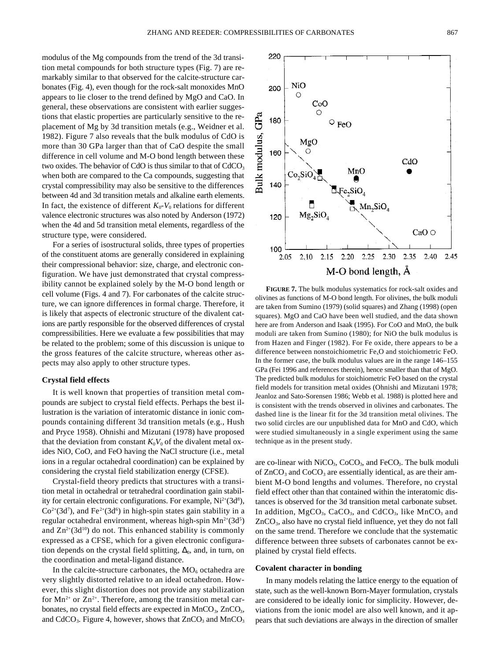modulus of the Mg compounds from the trend of the 3d transition metal compounds for both structure types (Fig. 7) are remarkably similar to that observed for the calcite-structure carbonates (Fig. 4), even though for the rock-salt monoxides MnO appears to lie closer to the trend defined by MgO and CaO. In general, these observations are consistent with earlier suggestions that elastic properties are particularly sensitive to the replacement of Mg by 3d transition metals (e.g., Weidner et al. 1982). Figure 7 also reveals that the bulk modulus of CdO is more than 30 GPa larger than that of CaO despite the small difference in cell volume and M-O bond length between these two oxides. The behavior of CdO is thus similar to that of  $CdCO<sub>3</sub>$ when both are compared to the Ca compounds, suggesting that crystal compressibility may also be sensitive to the differences between 4d and 3d transition metals and alkaline earth elements. In fact, the existence of different  $K_0$ - $V_0$  relations for different valence electronic structures was also noted by Anderson (1972) when the 4d and 5d transition metal elements, regardless of the structure type, were considered.

For a series of isostructural solids, three types of properties of the constituent atoms are generally considered in explaining their compressional behavior: size, charge, and electronic configuration. We have just demonstrated that crystal compressibility cannot be explained solely by the M-O bond length or cell volume (Figs. 4 and 7). For carbonates of the calcite structure, we can ignore differences in formal charge. Therefore, it is likely that aspects of electronic structure of the divalent cations are partly responsible for the observed differences of crystal compressibilities. Here we evaluate a few possibilities that may be related to the problem; some of this discussion is unique to the gross features of the calcite structure, whereas other aspects may also apply to other structure types.

## **Crystal field effects**

It is well known that properties of transition metal compounds are subject to crystal field effects. Perhaps the best illustration is the variation of interatomic distance in ionic compounds containing different 3d transition metals (e.g., Hush and Pryce 1958). Ohnishi and Mizutani (1978) have proposed that the deviation from constant  $K_0V_0$  of the divalent metal oxides NiO, CoO, and FeO having the NaCl structure (i.e., metal ions in a regular octahedral coordination) can be explained by considering the crystal field stabilization energy (CFSE).

Crystal-field theory predicts that structures with a transition metal in octahedral or tetrahedral coordination gain stability for certain electronic configurations. For example,  $Ni^{2+}(3d^8)$ ,  $Co<sup>2+</sup>(3d<sup>7</sup>)$ , and Fe<sup>2+</sup>(3d<sup>6</sup>) in high-spin states gain stability in a regular octahedral environment, whereas high-spin Mn<sup>2+</sup>(3d<sup>5</sup>) and  $\text{Zn}^{2+}(3d^{10})$  do not. This enhanced stability is commonly expressed as a CFSE, which for a given electronic configuration depends on the crystal field splitting,  $_{0}$ , and, in turn, on the coordination and metal-ligand distance.

In the calcite-structure carbonates, the  $MO<sub>6</sub>$  octahedra are very slightly distorted relative to an ideal octahedron. However, this slight distortion does not provide any stabilization for  $Mn^{2+}$  or  $Zn^{2+}$ . Therefore, among the transition metal carbonates, no crystal field effects are expected in MnCO<sub>3</sub>, ZnCO<sub>3</sub>, and CdCO<sub>3</sub>. Figure 4, however, shows that  $ZnCO<sub>3</sub>$  and MnCO<sub>3</sub>

220 N<sub>i</sub>O 200  $\circ$  $CoO$  $\Omega$ Bulk modulus, GPa 180  $\circ$  FeO  $MgO$ 160  $CdO$ MnO  $Co<sub>2</sub>SiO$ 140  $Fe<sub>2</sub>SiO<sub>4</sub>$  $Mn_2SiO_4$  $Mg_2SiO_4$ 120  $CaO O$ 100  $2.20$  2.25 2.30 2.35 2.10 2.15 2.40 2.45 2.05  $M-O$  bond length,  $\AA$ 

**FIGURE 7.** The bulk modulus systematics for rock-salt oxides and olivines as functions of M-O bond length. For olivines, the bulk moduli are taken from Sumino (1979) (solid squares) and Zhang (1998) (open squares). MgO and CaO have been well studied, and the data shown here are from Anderson and Isaak (1995). For CoO and MnO, the bulk moduli are taken from Sumino (1980); for NiO the bulk modulus is from Hazen and Finger (1982). For Fe oxide, there appears to be a difference between nonstoichiometric FexO and stoichiometric FeO. In the former case, the bulk modulus values are in the range 146–155 GPa (Fei 1996 and references therein), hence smaller than that of MgO. The predicted bulk modulus for stoichiometric FeO based on the crystal field models for transition metal oxides (Ohnishi and Mizutani 1978; Jeanloz and Sato-Sorensen 1986; Webb et al. 1988) is plotted here and is consistent with the trends observed in olivines and carbonates. The dashed line is the linear fit for the 3d transition metal olivines. The two solid circles are our unpublished data for MnO and CdO, which were studied simultaneously in a single experiment using the same technique as in the present study.

are co-linear with  $NiCO<sub>3</sub>$ ,  $CoCO<sub>3</sub>$ , and  $FeCO<sub>3</sub>$ . The bulk moduli of  $ZnCO<sub>3</sub>$  and  $CoCO<sub>3</sub>$  are essentially identical, as are their ambient M-O bond lengths and volumes. Therefore, no crystal field effect other than that contained within the interatomic distances is observed for the 3d transition metal carbonate subset. In addition, MgCO<sub>3</sub>, CaCO<sub>3</sub>, and CdCO<sub>3</sub>, like MnCO<sub>3</sub> and  $ZnCO<sub>3</sub>$ , also have no crystal field influence, yet they do not fall on the same trend. Therefore we conclude that the systematic difference between three subsets of carbonates cannot be explained by crystal field effects.

# **Covalent character in bonding**

In many models relating the lattice energy to the equation of state, such as the well-known Born-Mayer formulation, crystals are considered to be ideally ionic for simplicity. However, deviations from the ionic model are also well known, and it appears that such deviations are always in the direction of smaller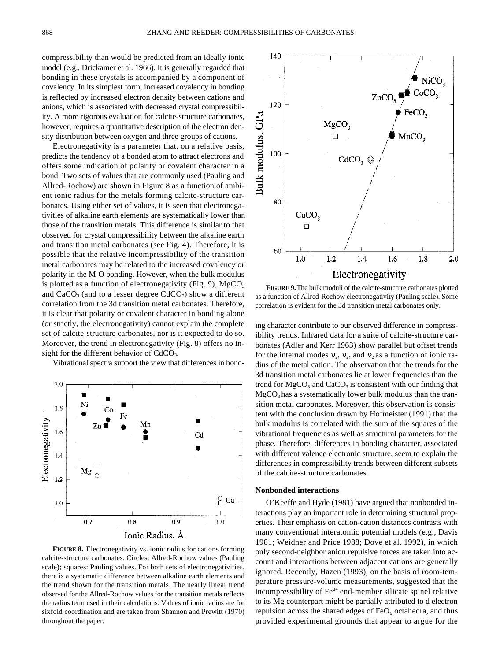compressibility than would be predicted from an ideally ionic model (e.g., Drickamer et al. 1966). It is generally regarded that bonding in these crystals is accompanied by a component of covalency. In its simplest form, increased covalency in bonding is reflected by increased electron density between cations and anions, which is associated with decreased crystal compressibility. A more rigorous evaluation for calcite-structure carbonates, however, requires a quantitative description of the electron density distribution between oxygen and three groups of cations.

Electronegativity is a parameter that, on a relative basis, predicts the tendency of a bonded atom to attract electrons and offers some indication of polarity or covalent character in a bond. Two sets of values that are commonly used (Pauling and Allred-Rochow) are shown in Figure 8 as a function of ambient ionic radius for the metals forming calcite-structure carbonates. Using either set of values, it is seen that electronegativities of alkaline earth elements are systematically lower than those of the transition metals. This difference is similar to that observed for crystal compressibility between the alkaline earth and transition metal carbonates (see Fig. 4). Therefore, it is possible that the relative incompressibility of the transition metal carbonates may be related to the increased covalency or polarity in the M-O bonding. However, when the bulk modulus is plotted as a function of electronegativity (Fig. 9),  $MgCO<sub>3</sub>$ and  $CaCO<sub>3</sub>$  (and to a lesser degree  $CdCO<sub>3</sub>$ ) show a different correlation from the 3d transition metal carbonates. Therefore, it is clear that polarity or covalent character in bonding alone (or strictly, the electronegativity) cannot explain the complete set of calcite-structure carbonates, nor is it expected to do so. Moreover, the trend in electronegativity (Fig. 8) offers no insight for the different behavior of CdCO<sub>3</sub>.

Vibrational spectra support the view that differences in bond-



**FIGURE 8.** Electronegativity vs. ionic radius for cations forming calcite-structure carbonates. Circles: Allred-Rochow values (Pauling scale); squares: Pauling values. For both sets of electronegativities, there is a systematic difference between alkaline earth elements and the trend shown for the transition metals. The nearly linear trend observed for the Allred-Rochow values for the transition metals reflects the radius term used in their calculations. Values of ionic radius are for sixfold coordination and are taken from Shannon and Prewitt (1970) throughout the paper.



**FIGURE 9.** The bulk moduli of the calcite-structure carbonates plotted as a function of Allred-Rochow electronegativity (Pauling scale). Some correlation is evident for the 3d transition metal carbonates only.

ing character contribute to our observed difference in compressibility trends. Infrared data for a suite of calcite-structure carbonates (Adler and Kerr 1963) show parallel but offset trends for the internal modes  $_2$ ,  $_2$ , and  $_2$  as a function of ionic radius of the metal cation. The observation that the trends for the 3d transition metal carbonates lie at lower frequencies than the trend for  $MgCO<sub>3</sub>$  and  $CaCO<sub>3</sub>$  is consistent with our finding that  $MgCO<sub>3</sub>$  has a systematically lower bulk modulus than the transition metal carbonates. Moreover, this observation is consistent with the conclusion drawn by Hofmeister (1991) that the bulk modulus is correlated with the sum of the squares of the vibrational frequencies as well as structural parameters for the phase. Therefore, differences in bonding character, associated with different valence electronic structure, seem to explain the differences in compressibility trends between different subsets of the calcite-structure carbonates.

#### **Nonbonded interactions**

O'Keeffe and Hyde (1981) have argued that nonbonded interactions play an important role in determining structural properties. Their emphasis on cation-cation distances contrasts with many conventional interatomic potential models (e.g., Davis 1981; Weidner and Price 1988; Dove et al. 1992), in which only second-neighbor anion repulsive forces are taken into account and interactions between adjacent cations are generally ignored. Recently, Hazen (1993), on the basis of room-temperature pressure-volume measurements, suggested that the incompressibility of  $Fe<sup>2+</sup>$  end-member silicate spinel relative to its Mg counterpart might be partially attributed to d electron repulsion across the shared edges of  $FeO<sub>6</sub>$  octahedra, and thus provided experimental grounds that appear to argue for the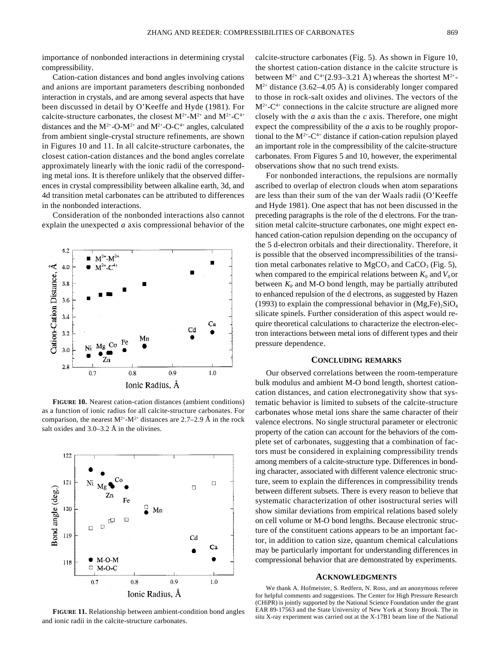importance of nonbonded interactions in determining crystal compressibility.

Cation-cation distances and bond angles involving cations and anions are important parameters describing nonbonded interaction in crystals, and are among several aspects that have been discussed in detail by O'Keeffe and Hyde (1981). For calcite-structure carbonates, the closest  $M^{2+}M^{2+}$  and  $M^{2+}C^{4+}$ distances and the  $M^{2+}$ -O- $M^{2+}$  and  $M^{2+}$ -O-C<sup>4+</sup> angles, calculated from ambient single-crystal structure refinements, are shown in Figures 10 and 11. In all calcite-structure carbonates, the closest cation-cation distances and the bond angles correlate approximately linearly with the ionic radii of the corresponding metal ions. It is therefore unlikely that the observed differences in crystal compressibility between alkaline earth, 3d, and 4d transition metal carbonates can be attributed to differences in the nonbonded interactions.

Consideration of the nonbonded interactions also cannot explain the unexpected *a* axis compressional behavior of the



**FIGURE 10.** Nearest cation-cation distances (ambient conditions) as a function of ionic radius for all calcite-structure carbonates. For comparison, the nearest  $M^{2+}-M^{2+}$  distances are 2.7–2.9 Å in the rock salt oxides and 3.0–3.2 Å in the olivines.



**FIGURE 11.** Relationship between ambient-condition bond angles and ionic radii in the calcite-structure carbonates.

calcite-structure carbonates (Fig. 5). As shown in Figure 10, the shortest cation-cation distance in the calcite structure is between  $M^{2+}$  and  $C^{4+}(2.93-3.21 \text{ Å})$  whereas the shortest  $M^{2+}$  $M^{2+}$  distance (3.62–4.05 Å) is considerably longer compared to those in rock-salt oxides and olivines. The vectors of the  $M^{2+}-C^{4+}$  connections in the calcite structure are aligned more closely with the *a* axis than the *c* axis. Therefore, one might expect the compressibility of the *a* axis to be roughly proportional to the  $M^{2+}C^{4+}$  distance if cation-cation repulsion played an important role in the compressibility of the calcite-structure carbonates. From Figures 5 and 10, however, the experimental observations show that no such trend exists.

For nonbonded interactions, the repulsions are normally ascribed to overlap of electron clouds when atom separations are less than their sum of the van der Waals radii (O'Keeffe and Hyde 1981). One aspect that has not been discussed in the preceding paragraphs is the role of the d electrons. For the transition metal calcite-structure carbonates, one might expect enhanced cation-cation repulsion depending on the occupancy of the 5 d-electron orbitals and their directionality. Therefore, it is possible that the observed incompressibilities of the transition metal carbonates relative to  $MgCO<sub>3</sub>$  and  $CaCO<sub>3</sub>$  (Fig. 5), when compared to the empirical relations between  $K_0$  and  $V_0$  or between  $K_P$  and M-O bond length, may be partially attributed to enhanced repulsion of the d electrons, as suggested by Hazen (1993) to explain the compressional behavior in  $(Mg,Fe)_2SiO_4$ silicate spinels. Further consideration of this aspect would require theoretical calculations to characterize the electron-electron interactions between metal ions of different types and their pressure dependence.

# **CONCLUDING REMARKS**

Our observed correlations between the room-temperature bulk modulus and ambient M-O bond length, shortest cationcation distances, and cation electronegativity show that systematic behavior is limited to subsets of the calcite-structure carbonates whose metal ions share the same character of their valence electrons. No single structural parameter or electronic property of the cation can account for the behaviors of the complete set of carbonates, suggesting that a combination of factors must be considered in explaining compressibility trends among members of a calcite-structure type. Differences in bonding character, associated with different valence electronic structure, seem to explain the differences in compressibility trends between different subsets. There is every reason to believe that systematic characterization of other isostructural series will show similar deviations from empirical relations based solely on cell volume or M-O bond lengths. Because electronic structure of the constituent cations appears to be an important factor, in addition to cation size, quantum chemical calculations may be particularly important for understanding differences in compressional behavior that are demonstrated by experiments.

#### **ACKNOWLEDGMENTS**

We thank A. Hofmeister, S. Redfern, N. Ross, and an anonymous referee for helpful comments and suggestions. The Center for High Pressure Research (CHiPR) is jointly supported by the National Science Foundation under the grant EAR 89-17563 and the State University of New York at Stony Brook. The in situ X-ray experiment was carried out at the X-17B1 beam line of the National